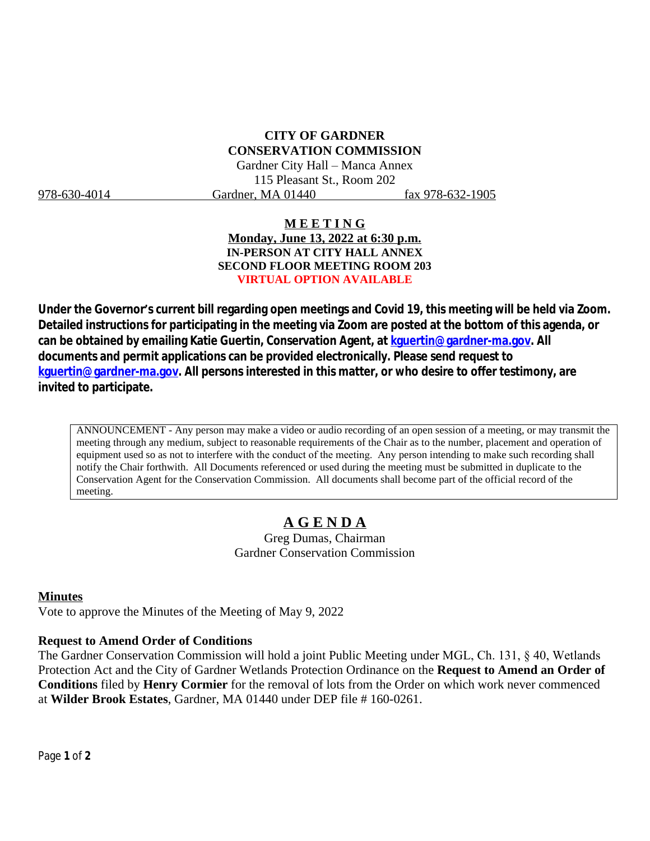# **CITY OF GARDNER CONSERVATION COMMISSION**

Gardner City Hall – Manca Annex 115 Pleasant St., Room 202 978-630-4014 Gardner, MA 01440 fax 978-632-1905

### **M E E T I N G Monday, June 13, 2022 at 6:30 p.m. IN-PERSON AT CITY HALL ANNEX SECOND FLOOR MEETING ROOM 203 VIRTUAL OPTION AVAILABLE**

**Under the Governor's current bill regarding open meetings and Covid 19, this meeting will be held via Zoom. Detailed instructions for participating in the meeting via Zoom are posted at the bottom of this agenda, or can be obtained by emailing Katie Guertin, Conservation Agent, at [kguertin@gardner-ma.gov. All](mailto:kguertin@gardner-ma.gov)  [documents and permit applications can be provided electronically. Please send request to](mailto:kguertin@gardner-ma.gov)  [kguertin@gardner-ma.gov.](mailto:kguertin@gardner-ma.gov) All persons interested in this matter, or who desire to offer testimony, are invited to participate.**

ANNOUNCEMENT - Any person may make a video or audio recording of an open session of a meeting, or may transmit the meeting through any medium, subject to reasonable requirements of the Chair as to the number, placement and operation of equipment used so as not to interfere with the conduct of the meeting. Any person intending to make such recording shall notify the Chair forthwith. All Documents referenced or used during the meeting must be submitted in duplicate to the Conservation Agent for the Conservation Commission. All documents shall become part of the official record of the meeting.

# **A G E N D A**

Greg Dumas, Chairman Gardner Conservation Commission

#### **Minutes**

Vote to approve the Minutes of the Meeting of May 9, 2022

#### **Request to Amend Order of Conditions**

The Gardner Conservation Commission will hold a joint Public Meeting under MGL, Ch. 131, § 40, Wetlands Protection Act and the City of Gardner Wetlands Protection Ordinance on the **Request to Amend an Order of Conditions** filed by **Henry Cormier** for the removal of lots from the Order on which work never commenced at **Wilder Brook Estates**, Gardner, MA 01440 under DEP file # 160-0261.